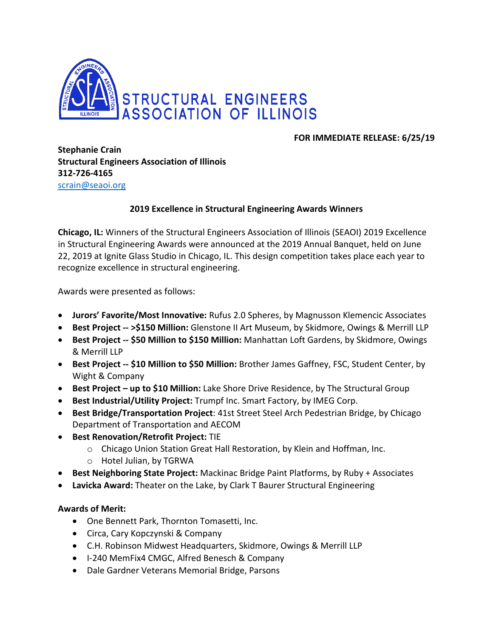

## **FOR IMMEDIATE RELEASE: 6/25/19**

**Stephanie Crain Structural Engineers Association of Illinois 312-726-4165** [scrain@seaoi.org](mailto:scrain@seaoi.org)

## **2019 Excellence in Structural Engineering Awards Winners**

**Chicago, IL:** Winners of the Structural Engineers Association of Illinois (SEAOI) 2019 Excellence in Structural Engineering Awards were announced at the 2019 Annual Banquet, held on June 22, 2019 at Ignite Glass Studio in Chicago, IL. This design competition takes place each year to recognize excellence in structural engineering.

Awards were presented as follows:

- **Jurors' Favorite/Most Innovative:** Rufus 2.0 Spheres, by Magnusson Klemencic Associates
- **Best Project -- >\$150 Million:** Glenstone II Art Museum, by Skidmore, Owings & Merrill LLP
- **Best Project -- \$50 Million to \$150 Million:** Manhattan Loft Gardens, by Skidmore, Owings & Merrill LLP
- **Best Project -- \$10 Million to \$50 Million:** Brother James Gaffney, FSC, Student Center, by Wight & Company
- **Best Project – up to \$10 Million:** Lake Shore Drive Residence, by The Structural Group
- **Best Industrial/Utility Project:** Trumpf Inc. Smart Factory, by IMEG Corp.
- **Best Bridge/Transportation Project**: 41st Street Steel Arch Pedestrian Bridge, by Chicago Department of Transportation and AECOM
- **Best Renovation/Retrofit Project:** TIE
	- o Chicago Union Station Great Hall Restoration, by Klein and Hoffman, Inc.
	- o Hotel Julian, by TGRWA
- **Best Neighboring State Project:** Mackinac Bridge Paint Platforms, by Ruby + Associates
- **Lavicka Award:** Theater on the Lake, by Clark T Baurer Structural Engineering

## **Awards of Merit:**

- One Bennett Park, Thornton Tomasetti, Inc.
- Circa, Cary Kopczynski & Company
- C.H. Robinson Midwest Headquarters, Skidmore, Owings & Merrill LLP
- I-240 MemFix4 CMGC, Alfred Benesch & Company
- Dale Gardner Veterans Memorial Bridge, Parsons